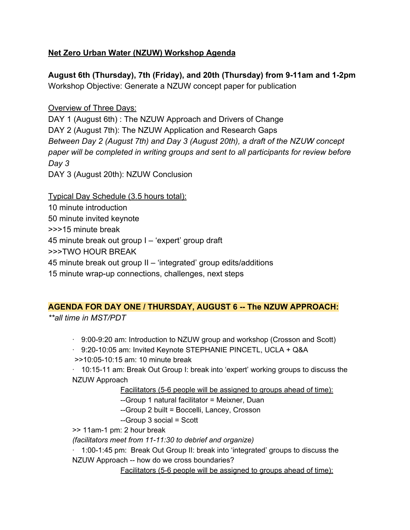# **Net Zero Urban Water (NZUW) Workshop Agenda**

**August 6th (Thursday), 7th (Friday), and 20th (Thursday) from 9-11am and 1-2pm** Workshop Objective: Generate a NZUW concept paper for publication

Overview of Three Days:

DAY 1 (August 6th) : The NZUW Approach and Drivers of Change DAY 2 (August 7th): The NZUW Application and Research Gaps *Between Day 2 (August 7th) and Day 3 (August 20th), a draft of the NZUW concept paper will be completed in writing groups and sent to all participants for review before Day 3*

DAY 3 (August 20th): NZUW Conclusion

Typical Day Schedule (3.5 hours total): 10 minute introduction 50 minute invited keynote >>>15 minute break 45 minute break out group I – 'expert' group draft >>>TWO HOUR BREAK 45 minute break out group II – 'integrated' group edits/additions 15 minute wrap-up connections, challenges, next steps

# **AGENDA FOR DAY ONE / THURSDAY, AUGUST 6 -- The NZUW APPROACH:**

*\*\*all time in MST/PDT*

· 9:00-9:20 am: Introduction to NZUW group and workshop (Crosson and Scott)

· 9:20-10:05 am: Invited Keynote STEPHANIE PINCETL, UCLA + Q&A

>>10:05-10:15 am: 10 minute break

· 10:15-11 am: Break Out Group I: break into 'expert' working groups to discuss the NZUW Approach

Facilitators (5-6 people will be assigned to groups ahead of time):

--Group 1 natural facilitator = Meixner, Duan

--Group 2 built = Boccelli, Lancey, Crosson

--Group 3 social = Scott

>> 11am-1 pm: 2 hour break

*(facilitators meet from 11-11:30 to debrief and organize)*

· 1:00-1:45 pm: Break Out Group II: break into 'integrated' groups to discuss the NZUW Approach -- how do we cross boundaries?

Facilitators (5-6 people will be assigned to groups ahead of time):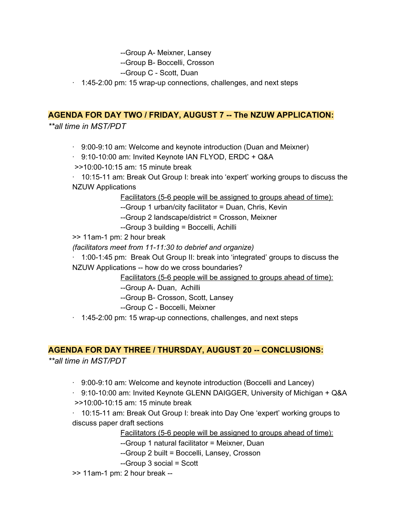--Group A- Meixner, Lansey

--Group B- Boccelli, Crosson

--Group C - Scott, Duan

 $\cdot$  1:45-2:00 pm: 15 wrap-up connections, challenges, and next steps

### **AGENDA FOR DAY TWO / FRIDAY, AUGUST 7 -- The NZUW APPLICATION:**

*\*\*all time in MST/PDT*

· 9:00-9:10 am: Welcome and keynote introduction (Duan and Meixner)

· 9:10-10:00 am: Invited Keynote IAN FLYOD, ERDC + Q&A

>>10:00-10:15 am: 15 minute break

· 10:15-11 am: Break Out Group I: break into 'expert' working groups to discuss the NZUW Applications

Facilitators (5-6 people will be assigned to groups ahead of time):

--Group 1 urban/city facilitator = Duan, Chris, Kevin

--Group 2 landscape/district = Crosson, Meixner

--Group 3 building = Boccelli, Achilli

>> 11am-1 pm: 2 hour break

*(facilitators meet from 11-11:30 to debrief and organize)*

· 1:00-1:45 pm: Break Out Group II: break into 'integrated' groups to discuss the NZUW Applications -- how do we cross boundaries?

Facilitators (5-6 people will be assigned to groups ahead of time):

--Group A- Duan, Achilli

--Group B- Crosson, Scott, Lansey

--Group C - Boccelli, Meixner

 $\cdot$  1:45-2:00 pm: 15 wrap-up connections, challenges, and next steps

#### **AGENDA FOR DAY THREE / THURSDAY, AUGUST 20 -- CONCLUSIONS:**

*\*\*all time in MST/PDT*

 $\cdot$  9:00-9:10 am: Welcome and keynote introduction (Boccelli and Lancey)

· 9:10-10:00 am: Invited Keynote GLENN DAIGGER, University of Michigan + Q&A >>10:00-10:15 am: 15 minute break

· 10:15-11 am: Break Out Group I: break into Day One 'expert' working groups to discuss paper draft sections

Facilitators (5-6 people will be assigned to groups ahead of time):

--Group 1 natural facilitator = Meixner, Duan

--Group 2 built = Boccelli, Lansey, Crosson

--Group 3 social = Scott

>> 11am-1 pm: 2 hour break --